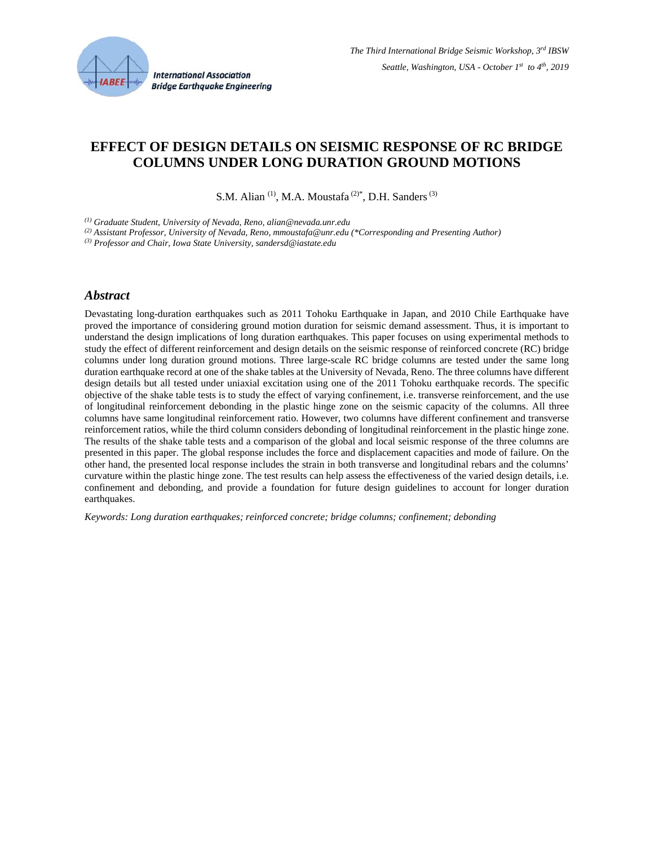

# **EFFECT OF DESIGN DETAILS ON SEISMIC RESPONSE OF RC BRIDGE COLUMNS UNDER LONG DURATION GROUND MOTIONS**

S.M. Alian<sup>(1)</sup>, M.A. Moustafa<sup>(2)\*</sup>, D.H. Sanders<sup>(3)</sup>

*(1) Graduate Student, University of Nevada, Reno, alian@nevada.unr.edu* 

*(2) Assistant Professor, University of Nevada, Reno, mmoustafa@unr.edu (\*Corresponding and Presenting Author)* 

*(3) Professor and Chair, Iowa State University, sandersd@iastate.edu* 

#### *Abstract*

Devastating long-duration earthquakes such as 2011 Tohoku Earthquake in Japan, and 2010 Chile Earthquake have proved the importance of considering ground motion duration for seismic demand assessment. Thus, it is important to understand the design implications of long duration earthquakes. This paper focuses on using experimental methods to study the effect of different reinforcement and design details on the seismic response of reinforced concrete (RC) bridge columns under long duration ground motions. Three large-scale RC bridge columns are tested under the same long duration earthquake record at one of the shake tables at the University of Nevada, Reno. The three columns have different design details but all tested under uniaxial excitation using one of the 2011 Tohoku earthquake records. The specific objective of the shake table tests is to study the effect of varying confinement, i.e. transverse reinforcement, and the use of longitudinal reinforcement debonding in the plastic hinge zone on the seismic capacity of the columns. All three columns have same longitudinal reinforcement ratio. However, two columns have different confinement and transverse reinforcement ratios, while the third column considers debonding of longitudinal reinforcement in the plastic hinge zone. The results of the shake table tests and a comparison of the global and local seismic response of the three columns are presented in this paper. The global response includes the force and displacement capacities and mode of failure. On the other hand, the presented local response includes the strain in both transverse and longitudinal rebars and the columns' curvature within the plastic hinge zone. The test results can help assess the effectiveness of the varied design details, i.e. confinement and debonding, and provide a foundation for future design guidelines to account for longer duration earthquakes.

*Keywords: Long duration earthquakes; reinforced concrete; bridge columns; confinement; debonding*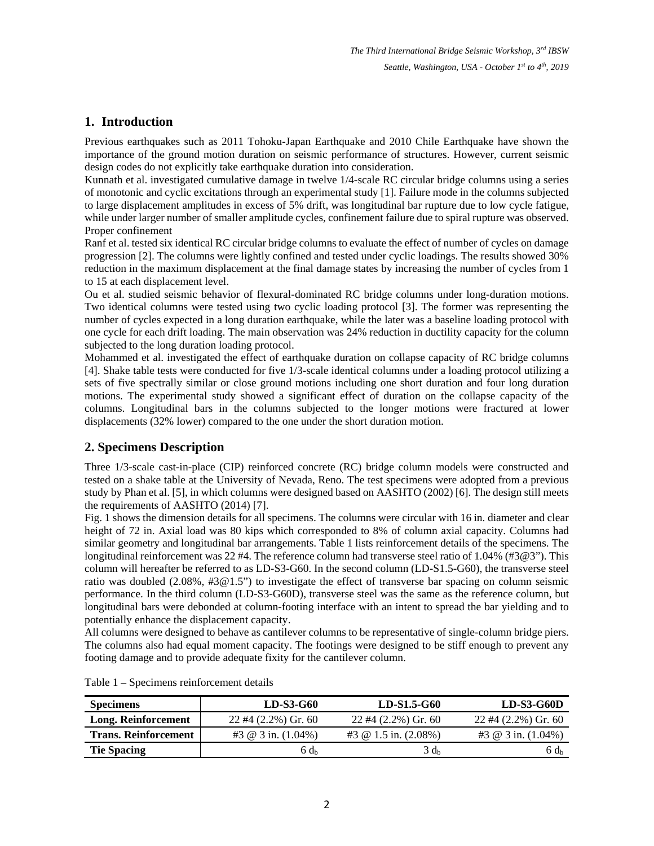*The Third International Bridge Seismic Workshop, 3rd IBSW Seattle, Washington, USA - October 1st to 4th, 2019* 

## **1. Introduction**

Previous earthquakes such as 2011 Tohoku-Japan Earthquake and 2010 Chile Earthquake have shown the importance of the ground motion duration on seismic performance of structures. However, current seismic design codes do not explicitly take earthquake duration into consideration.

Kunnath et al. investigated cumulative damage in twelve 1/4-scale RC circular bridge columns using a series of monotonic and cyclic excitations through an experimental study [1]. Failure mode in the columns subjected to large displacement amplitudes in excess of 5% drift, was longitudinal bar rupture due to low cycle fatigue, while under larger number of smaller amplitude cycles, confinement failure due to spiral rupture was observed. Proper confinement

Ranf et al. tested six identical RC circular bridge columns to evaluate the effect of number of cycles on damage progression [2]. The columns were lightly confined and tested under cyclic loadings. The results showed 30% reduction in the maximum displacement at the final damage states by increasing the number of cycles from 1 to 15 at each displacement level.

Ou et al. studied seismic behavior of flexural-dominated RC bridge columns under long-duration motions. Two identical columns were tested using two cyclic loading protocol [3]. The former was representing the number of cycles expected in a long duration earthquake, while the later was a baseline loading protocol with one cycle for each drift loading. The main observation was 24% reduction in ductility capacity for the column subjected to the long duration loading protocol.

Mohammed et al. investigated the effect of earthquake duration on collapse capacity of RC bridge columns [4]. Shake table tests were conducted for five 1/3-scale identical columns under a loading protocol utilizing a sets of five spectrally similar or close ground motions including one short duration and four long duration motions. The experimental study showed a significant effect of duration on the collapse capacity of the columns. Longitudinal bars in the columns subjected to the longer motions were fractured at lower displacements (32% lower) compared to the one under the short duration motion.

## **2. Specimens Description**

Three 1/3-scale cast-in-place (CIP) reinforced concrete (RC) bridge column models were constructed and tested on a shake table at the University of Nevada, Reno. The test specimens were adopted from a previous study by Phan et al. [5], in which columns were designed based on AASHTO (2002) [6]. The design still meets the requirements of AASHTO (2014) [7].

Fig. 1 shows the dimension details for all specimens. The columns were circular with 16 in. diameter and clear height of 72 in. Axial load was 80 kips which corresponded to 8% of column axial capacity. Columns had similar geometry and longitudinal bar arrangements. Table 1 lists reinforcement details of the specimens. The longitudinal reinforcement was 22 #4. The reference column had transverse steel ratio of 1.04% (#3@3"). This column will hereafter be referred to as LD-S3-G60. In the second column (LD-S1.5-G60), the transverse steel ratio was doubled (2.08%, #3@1.5") to investigate the effect of transverse bar spacing on column seismic performance. In the third column (LD-S3-G60D), transverse steel was the same as the reference column, but longitudinal bars were debonded at column-footing interface with an intent to spread the bar yielding and to potentially enhance the displacement capacity.

All columns were designed to behave as cantilever columns to be representative of single-column bridge piers. The columns also had equal moment capacity. The footings were designed to be stiff enough to prevent any footing damage and to provide adequate fixity for the cantilever column.

| <b>Specimens</b>            | LD-S3-G60                    | LD-S1.5-G60                 | <b>LD-S3-G60D</b>         |
|-----------------------------|------------------------------|-----------------------------|---------------------------|
| Long. Reinforcement         | $22 \#4 (2.2\%)$ Gr. 60      | $22 \#4 (2.2\%)$ Gr. 60     | $22 \#4 (2.2\%)$ Gr. 60   |
| <b>Trans. Reinforcement</b> | #3 $\omega$ 3 in. $(1.04\%)$ | #3 $\omega$ 1.5 in. (2.08%) | #3 $\omega$ 3 in. (1.04%) |
| <b>Tie Spacing</b>          | $6d_h$                       | $3 d_h$                     | $6d_h$                    |

Table 1 – Specimens reinforcement details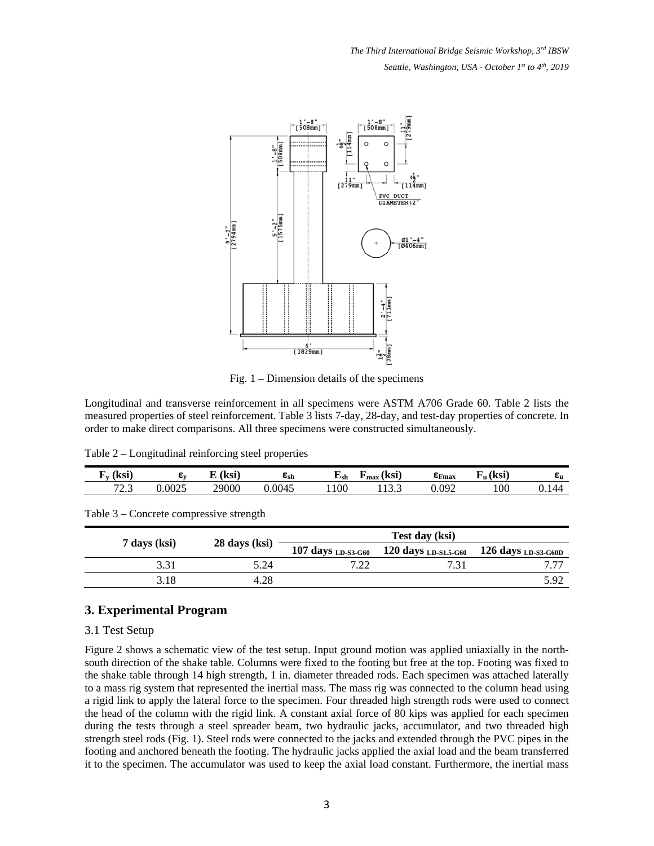*The Third International Bridge Seismic Workshop, 3rd IBSW Seattle, Washington, USA - October 1st to 4th, 2019* 



Fig. 1 – Dimension details of the specimens

Longitudinal and transverse reinforcement in all specimens were ASTM A706 Grade 60. Table 2 lists the measured properties of steel reinforcement. Table 3 lists 7-day, 28-day, and test-day properties of concrete. In order to make direct comparisons. All three specimens were constructed simultaneously.

Table 2 – Longitudinal reinforcing steel properties

| lzci<br>- газі<br>- |        | $\sqrt{1}$<br>F(1) | csh    | ∟sh | <b>Izov</b><br>1 IN 51<br>max | $E_{\text{Fmax}}$ | l Izci<br>∡աւ | cυ             |
|---------------------|--------|--------------------|--------|-----|-------------------------------|-------------------|---------------|----------------|
| $\pi$<br>ر . ب      | 0.0025 | 29000              | 0.0045 | 100 | $\sim$<br>-<br>11J.J          | 0.092             | 100           | $\Delta\Delta$ |

Table 3 – Concrete compressive strength

|              |               | Test day (ksi)     |                                               |                                |  |  |  |  |  |  |
|--------------|---------------|--------------------|-----------------------------------------------|--------------------------------|--|--|--|--|--|--|
| 7 days (ksi) | 28 days (ksi) | 107 days LD-S3-G60 | $120$ days $_{\rm LD\text{-}S1.5\text{-}G60}$ | 126 days <sub>LD-S3-G60D</sub> |  |  |  |  |  |  |
| 3.31         | 5.24          | 7.22               | 731                                           |                                |  |  |  |  |  |  |
| 3.18         | 4.28          |                    |                                               | 5.92                           |  |  |  |  |  |  |

### **3. Experimental Program**

#### 3.1 Test Setup

Figure 2 shows a schematic view of the test setup. Input ground motion was applied uniaxially in the northsouth direction of the shake table. Columns were fixed to the footing but free at the top. Footing was fixed to the shake table through 14 high strength, 1 in. diameter threaded rods. Each specimen was attached laterally to a mass rig system that represented the inertial mass. The mass rig was connected to the column head using a rigid link to apply the lateral force to the specimen. Four threaded high strength rods were used to connect the head of the column with the rigid link. A constant axial force of 80 kips was applied for each specimen during the tests through a steel spreader beam, two hydraulic jacks, accumulator, and two threaded high strength steel rods (Fig. 1). Steel rods were connected to the jacks and extended through the PVC pipes in the footing and anchored beneath the footing. The hydraulic jacks applied the axial load and the beam transferred it to the specimen. The accumulator was used to keep the axial load constant. Furthermore, the inertial mass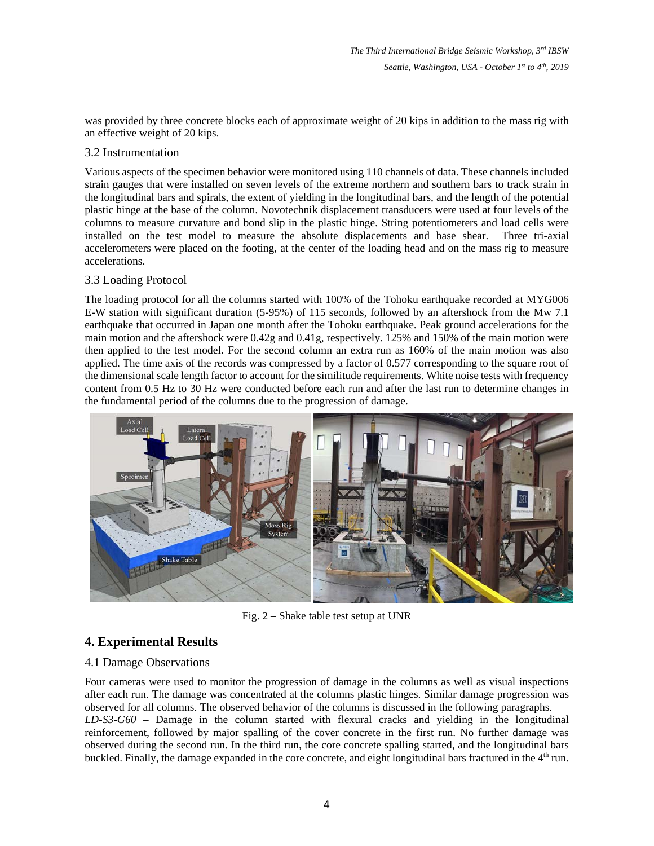was provided by three concrete blocks each of approximate weight of 20 kips in addition to the mass rig with an effective weight of 20 kips.

#### 3.2 Instrumentation

Various aspects of the specimen behavior were monitored using 110 channels of data. These channels included strain gauges that were installed on seven levels of the extreme northern and southern bars to track strain in the longitudinal bars and spirals, the extent of yielding in the longitudinal bars, and the length of the potential plastic hinge at the base of the column. Novotechnik displacement transducers were used at four levels of the columns to measure curvature and bond slip in the plastic hinge. String potentiometers and load cells were installed on the test model to measure the absolute displacements and base shear. Three tri-axial accelerometers were placed on the footing, at the center of the loading head and on the mass rig to measure accelerations.

#### 3.3 Loading Protocol

The loading protocol for all the columns started with 100% of the Tohoku earthquake recorded at MYG006 E-W station with significant duration (5-95%) of 115 seconds, followed by an aftershock from the Mw 7.1 earthquake that occurred in Japan one month after the Tohoku earthquake. Peak ground accelerations for the main motion and the aftershock were 0.42g and 0.41g, respectively. 125% and 150% of the main motion were then applied to the test model. For the second column an extra run as 160% of the main motion was also applied. The time axis of the records was compressed by a factor of 0.577 corresponding to the square root of the dimensional scale length factor to account for the similitude requirements. White noise tests with frequency content from 0.5 Hz to 30 Hz were conducted before each run and after the last run to determine changes in the fundamental period of the columns due to the progression of damage.



Fig. 2 – Shake table test setup at UNR

## **4. Experimental Results**

### 4.1 Damage Observations

Four cameras were used to monitor the progression of damage in the columns as well as visual inspections after each run. The damage was concentrated at the columns plastic hinges. Similar damage progression was observed for all columns. The observed behavior of the columns is discussed in the following paragraphs. *LD-S3-G60* – Damage in the column started with flexural cracks and yielding in the longitudinal reinforcement, followed by major spalling of the cover concrete in the first run. No further damage was observed during the second run. In the third run, the core concrete spalling started, and the longitudinal bars buckled. Finally, the damage expanded in the core concrete, and eight longitudinal bars fractured in the 4<sup>th</sup> run.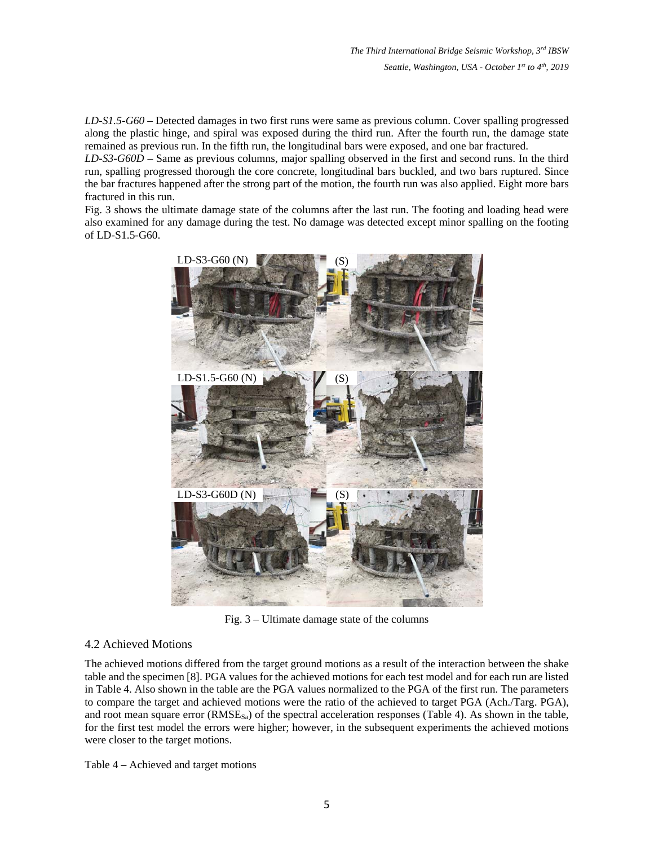*LD-S1.5-G60* – Detected damages in two first runs were same as previous column. Cover spalling progressed along the plastic hinge, and spiral was exposed during the third run. After the fourth run, the damage state remained as previous run. In the fifth run, the longitudinal bars were exposed, and one bar fractured.

*LD-S3-G60D* – Same as previous columns, major spalling observed in the first and second runs. In the third run, spalling progressed thorough the core concrete, longitudinal bars buckled, and two bars ruptured. Since the bar fractures happened after the strong part of the motion, the fourth run was also applied. Eight more bars fractured in this run.

Fig. 3 shows the ultimate damage state of the columns after the last run. The footing and loading head were also examined for any damage during the test. No damage was detected except minor spalling on the footing of LD-S1.5-G60.



Fig. 3 – Ultimate damage state of the columns

### 4.2 Achieved Motions

The achieved motions differed from the target ground motions as a result of the interaction between the shake table and the specimen [8]. PGA values for the achieved motions for each test model and for each run are listed in Table 4. Also shown in the table are the PGA values normalized to the PGA of the first run. The parameters to compare the target and achieved motions were the ratio of the achieved to target PGA (Ach./Targ. PGA), and root mean square error  $(RMSE_{sa})$  of the spectral acceleration responses (Table 4). As shown in the table, for the first test model the errors were higher; however, in the subsequent experiments the achieved motions were closer to the target motions.

Table 4 – Achieved and target motions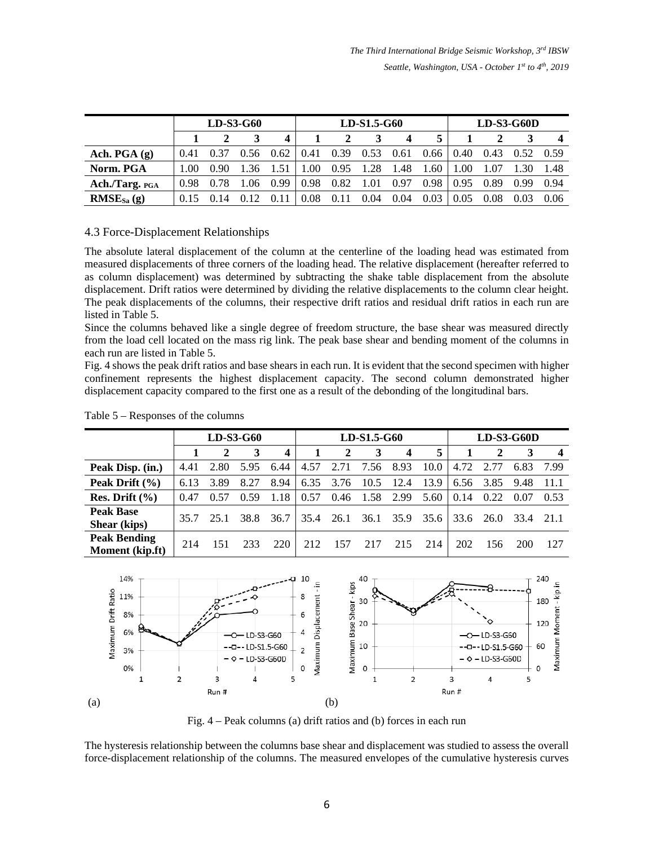|                | $LD-S3-G60$ |      |      |      |      |      | $LD-S1.5-G60$ |      |      | $LD-S3-G60D$ |      |      |      |
|----------------|-------------|------|------|------|------|------|---------------|------|------|--------------|------|------|------|
|                |             |      |      | Δ    |      |      |               | 4    |      |              |      |      |      |
| Ach. PGA $(g)$ | 0.41        |      | 0.56 | 0.62 | 0.41 | 0.39 | 0.53          | 0.61 | 0.66 | 0.40         | 0.43 | 0.52 | 0.59 |
| Norm. PGA      | 1.00        | 0.90 | .36  | 1.51 | .00. | 0.95 | 1.28          | .48  | .60  | 1.00         | 1.07 | .30  | 1.48 |
| Ach./Targ. PGA | 0.98        | 0.78 | .06  | 0.99 | 0.98 | 0.82 |               | 0.97 | 0.98 | 0.95         | 0.89 | 0.99 | 0.94 |
| $RMSE_{Sa}(g)$ | 0.15        |      |      |      | 0.08 | 0.11 | 0.04          | 0.04 | 0.03 | 0.05         | 0.08 | 0.03 | 0.06 |

### 4.3 Force-Displacement Relationships

The absolute lateral displacement of the column at the centerline of the loading head was estimated from measured displacements of three corners of the loading head. The relative displacement (hereafter referred to as column displacement) was determined by subtracting the shake table displacement from the absolute displacement. Drift ratios were determined by dividing the relative displacements to the column clear height. The peak displacements of the columns, their respective drift ratios and residual drift ratios in each run are listed in Table 5.

Since the columns behaved like a single degree of freedom structure, the base shear was measured directly from the load cell located on the mass rig link. The peak base shear and bending moment of the columns in each run are listed in Table 5.

Fig. 4 shows the peak drift ratios and base shears in each run. It is evident that the second specimen with higher confinement represents the highest displacement capacity. The second column demonstrated higher displacement capacity compared to the first one as a result of the debonding of the longitudinal bars.

|                                               | $LD-S3-G60$ |      |      |      |      |      | LD-S1.5-G60 |                  |          | $LD-S3-G60D$ |              |      |         |
|-----------------------------------------------|-------------|------|------|------|------|------|-------------|------------------|----------|--------------|--------------|------|---------|
|                                               |             | 2    | 3    | 4    |      | 2    | 3           | $\boldsymbol{4}$ | 5        |              | $\mathbf{2}$ | 3    |         |
| Peak Disp. (in.)                              | 4.41        | 2.80 | 5.95 | 6.44 | 4.57 | 2.71 | 7.56        | 8.93             | $10.0-1$ | 4.72         | 2.77         | 6.83 | 7.99    |
| Peak Drift $(\% )$                            | 6.13        | 3.89 | 8.27 | 8.94 | 6.35 | 3.76 | 10.5        | 12.4             | 13.9     | 6.56         | 3.85         | 9.48 | -11.1   |
| Res. Drift $(\% )$                            | 0.47        | 0.57 | 0.59 | 1.18 | 0.57 | 0.46 | 1.58        | 2.99             | 5.60     | 0.14         | 0.22         | 0.07 | 0.53    |
| <b>Peak Base</b><br><b>Shear</b> (kips)       | 35.7        | 25.1 | 38.8 | 36.7 | 35.4 | 26.1 |             | 36.1 35.9        | 35.6 l   |              | 33.6 26.0    | 33.4 | $-21.1$ |
| <b>Peak Bending</b><br><b>Moment</b> (kip.ft) | 214         |      | 233  | 220  | 212  | 157  | 217         | 215              | 214      | 202          | 156          | 200  | 127     |

Table 5 – Responses of the columns



Fig. 4 – Peak columns (a) drift ratios and (b) forces in each run

The hysteresis relationship between the columns base shear and displacement was studied to assess the overall force-displacement relationship of the columns. The measured envelopes of the cumulative hysteresis curves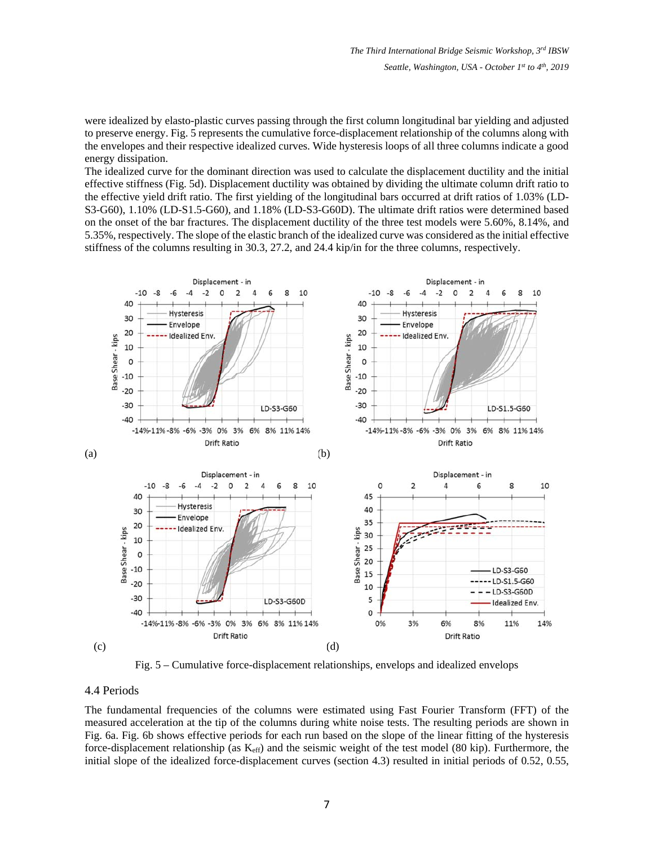were idealized by elasto-plastic curves passing through the first column longitudinal bar yielding and adjusted to preserve energy. Fig. 5 represents the cumulative force-displacement relationship of the columns along with the envelopes and their respective idealized curves. Wide hysteresis loops of all three columns indicate a good energy dissipation.

The idealized curve for the dominant direction was used to calculate the displacement ductility and the initial effective stiffness (Fig. 5d). Displacement ductility was obtained by dividing the ultimate column drift ratio to the effective yield drift ratio. The first yielding of the longitudinal bars occurred at drift ratios of 1.03% (LD-S3-G60), 1.10% (LD-S1.5-G60), and 1.18% (LD-S3-G60D). The ultimate drift ratios were determined based on the onset of the bar fractures. The displacement ductility of the three test models were 5.60%, 8.14%, and 5.35%, respectively. The slope of the elastic branch of the idealized curve was considered as the initial effective stiffness of the columns resulting in 30.3, 27.2, and 24.4 kip/in for the three columns, respectively.



Fig. 5 – Cumulative force-displacement relationships, envelops and idealized envelops

#### 4.4 Periods

The fundamental frequencies of the columns were estimated using Fast Fourier Transform (FFT) of the measured acceleration at the tip of the columns during white noise tests. The resulting periods are shown in Fig. 6a. Fig. 6b shows effective periods for each run based on the slope of the linear fitting of the hysteresis force-displacement relationship (as  $K_{\text{eff}}$ ) and the seismic weight of the test model (80 kip). Furthermore, the initial slope of the idealized force-displacement curves (section 4.3) resulted in initial periods of 0.52, 0.55,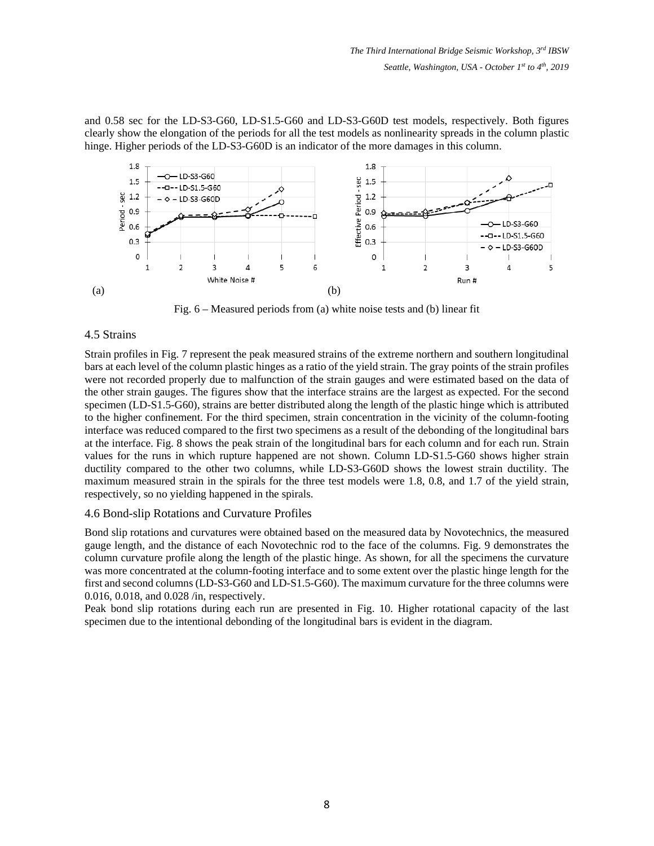and 0.58 sec for the LD-S3-G60, LD-S1.5-G60 and LD-S3-G60D test models, respectively. Both figures clearly show the elongation of the periods for all the test models as nonlinearity spreads in the column plastic hinge. Higher periods of the LD-S3-G60D is an indicator of the more damages in this column.



Fig. 6 – Measured periods from (a) white noise tests and (b) linear fit

### 4.5 Strains

Strain profiles in Fig. 7 represent the peak measured strains of the extreme northern and southern longitudinal bars at each level of the column plastic hinges as a ratio of the yield strain. The gray points of the strain profiles were not recorded properly due to malfunction of the strain gauges and were estimated based on the data of the other strain gauges. The figures show that the interface strains are the largest as expected. For the second specimen (LD-S1.5-G60), strains are better distributed along the length of the plastic hinge which is attributed to the higher confinement. For the third specimen, strain concentration in the vicinity of the column-footing interface was reduced compared to the first two specimens as a result of the debonding of the longitudinal bars at the interface. Fig. 8 shows the peak strain of the longitudinal bars for each column and for each run. Strain values for the runs in which rupture happened are not shown. Column LD-S1.5-G60 shows higher strain ductility compared to the other two columns, while LD-S3-G60D shows the lowest strain ductility. The maximum measured strain in the spirals for the three test models were 1.8, 0.8, and 1.7 of the yield strain, respectively, so no yielding happened in the spirals.

### 4.6 Bond-slip Rotations and Curvature Profiles

Bond slip rotations and curvatures were obtained based on the measured data by Novotechnics, the measured gauge length, and the distance of each Novotechnic rod to the face of the columns. Fig. 9 demonstrates the column curvature profile along the length of the plastic hinge. As shown, for all the specimens the curvature was more concentrated at the column-footing interface and to some extent over the plastic hinge length for the first and second columns (LD-S3-G60 and LD-S1.5-G60). The maximum curvature for the three columns were 0.016, 0.018, and 0.028 /in, respectively.

Peak bond slip rotations during each run are presented in Fig. 10. Higher rotational capacity of the last specimen due to the intentional debonding of the longitudinal bars is evident in the diagram.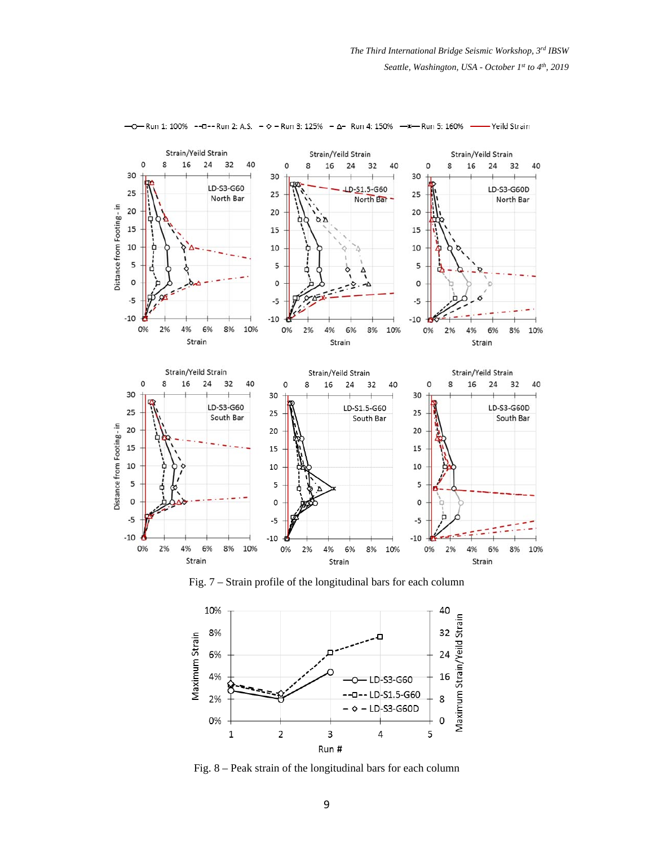

- Ο - Run 1: 100% - - Ω - - Run 2: A.S. -  $\circ$  - Run 3: 125% - Δ - Run 4: 150% - \* - Run 5: 160% -Yeild Strain

Fig. 7 – Strain profile of the longitudinal bars for each column



Fig. 8 – Peak strain of the longitudinal bars for each column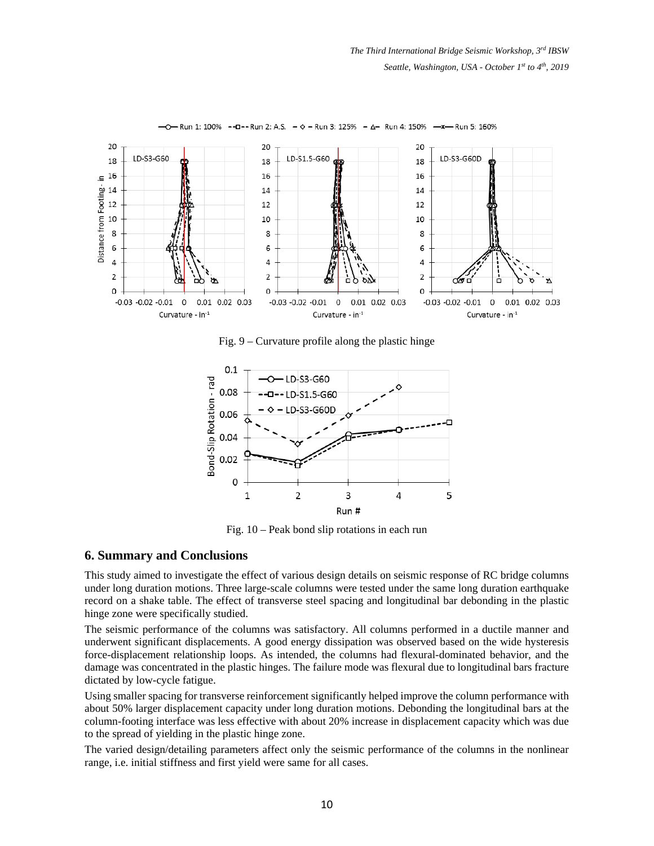

Run 1: 100% -- D -- Run 2: A.S.  $\diamond$  - Run 3: 125% -  $\triangle$ - Run 4: 150% -x-Run 5: 160%

Fig. 9 – Curvature profile along the plastic hinge



Fig. 10 – Peak bond slip rotations in each run

#### **6. Summary and Conclusions**

This study aimed to investigate the effect of various design details on seismic response of RC bridge columns under long duration motions. Three large-scale columns were tested under the same long duration earthquake record on a shake table. The effect of transverse steel spacing and longitudinal bar debonding in the plastic hinge zone were specifically studied.

The seismic performance of the columns was satisfactory. All columns performed in a ductile manner and underwent significant displacements. A good energy dissipation was observed based on the wide hysteresis force-displacement relationship loops. As intended, the columns had flexural-dominated behavior, and the damage was concentrated in the plastic hinges. The failure mode was flexural due to longitudinal bars fracture dictated by low-cycle fatigue.

Using smaller spacing for transverse reinforcement significantly helped improve the column performance with about 50% larger displacement capacity under long duration motions. Debonding the longitudinal bars at the column-footing interface was less effective with about 20% increase in displacement capacity which was due to the spread of yielding in the plastic hinge zone.

The varied design/detailing parameters affect only the seismic performance of the columns in the nonlinear range, i.e. initial stiffness and first yield were same for all cases.